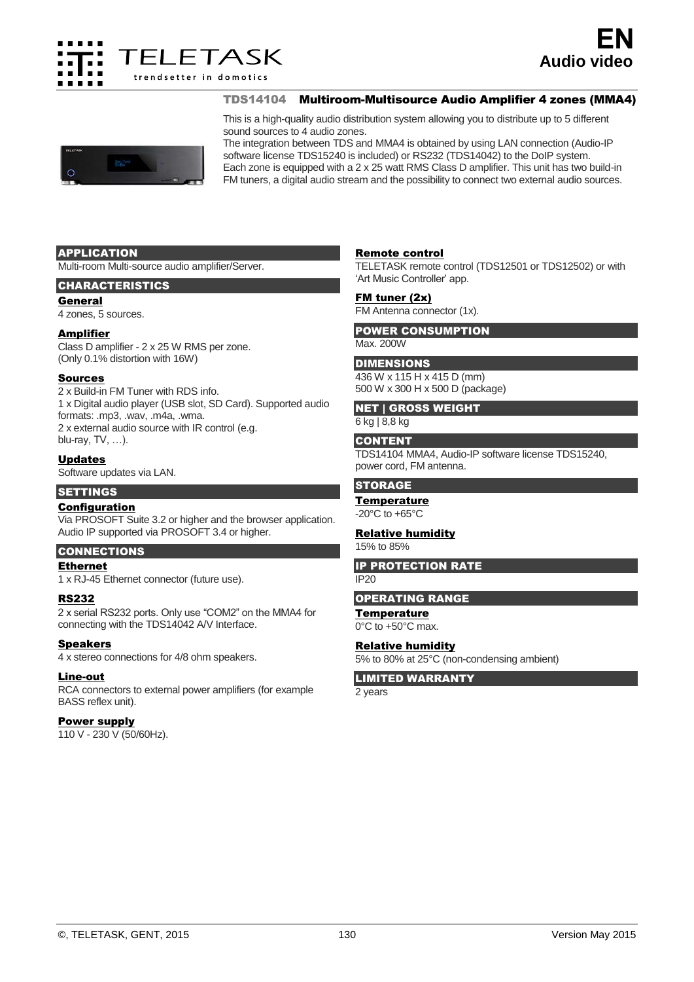

TDS14104 Multiroom-Multisource Audio Amplifier 4 zones (MMA4)

This is a high-quality audio distribution system allowing you to distribute up to 5 different sound sources to 4 audio zones.

The integration between TDS and MMA4 is obtained by using LAN connection (Audio-IP software license TDS15240 is included) or RS232 (TDS14042) to the DoIP system. Each zone is equipped with a 2 x 25 watt RMS Class D amplifier. This unit has two build-in FM tuners, a digital audio stream and the possibility to connect two external audio sources.

## APPLICATION

Multi-room Multi-source audio amplifier/Server.

# CHARACTERISTICS

#### General

4 zones, 5 sources.

## Amplifier

Class D amplifier - 2 x 25 W RMS per zone. (Only 0.1% distortion with 16W)

#### Sources

2 x Build-in FM Tuner with RDS info. 1 x Digital audio player (USB slot, SD Card). Supported audio formats: .mp3, .wav, .m4a, .wma. 2 x external audio source with IR control (e.g. blu-ray, TV, …).

# Updates

Software updates via LAN.

# **SETTINGS**

# Configuration

Via PROSOFT Suite 3.2 or higher and the browser application. Audio IP supported via PROSOFT 3.4 or higher.

# **CONNECTIONS**

# Ethernet

1 x RJ-45 Ethernet connector (future use).

#### RS232

2 x serial RS232 ports. Only use "COM2" on the MMA4 for connecting with the TDS14042 A/V Interface.

#### **Speakers**

4 x stereo connections for 4/8 ohm speakers.

#### Line-out

RCA connectors to external power amplifiers (for example BASS reflex unit).

#### Power supply

110 V - 230 V (50/60Hz).

# Remote control

TELETASK remote control (TDS12501 or TDS12502) or with 'Art Music Controller' app.

## FM tuner (2x)

FM Antenna connector (1x).

#### POWER CONSUMPTION Max. 200W

# **DIMENSIONS**

436 W x 115 H x 415 D (mm)

500 W x 300 H x 500 D (package)

# NET | GROSS WEIGHT

6 kg | 8,8 kg

## **CONTENT**

TDS14104 MMA4, Audio-IP software license TDS15240, power cord, FM antenna.

# **STORAGE**

#### **Temperature**

-20°C to +65°C

# Relative humidity

15% to 85%

IP PROTECTION RATE

# $IP20$

#### OPERATING RANGE

**Temperature** 0°C to +50°C max.

# Relative humidity

5% to 80% at 25°C (non-condensing ambient)

LIMITED WARRANTY

2 years